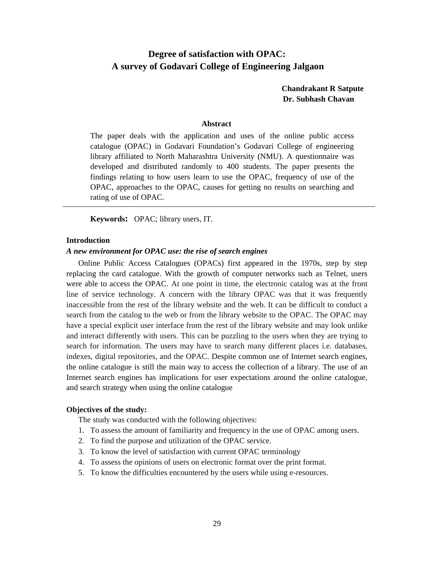# **Degree of satisfaction with OPAC: A survey of Godavari College of Engineering Jalgaon**

**Chandrakant R Satpute Dr. Subhash Chavan**

#### **Abstract**

The paper deals with the application and uses of the online public access catalogue (OPAC) in Godavari Foundation's Godavari College of engineering library affiliated to North Maharashtra University (NMU). A questionnaire was developed and distributed randomly to 400 students. The paper presents the findings relating to how users learn to use the OPAC, frequency of use of the OPAC, approaches to the OPAC, causes for getting no results on searching and rating of use of OPAC.

**Keywords:** OPAC; library users, IT.

#### **Introduction**

#### *A new environment for OPAC use: the rise of search engines*

Online Public Access Catalogues (OPACs) first appeared in the 1970s, step by step replacing the card catalogue. With the growth of computer networks such as Telnet, users were able to access the OPAC. At one point in time, the electronic catalog was at the front line of service technology. A concern with the library OPAC was that it was frequently inaccessible from the rest of the library website and the web. It can be difficult to conduct a search from the catalog to the web or from the library website to the OPAC. The OPAC may have a special explicit user interface from the rest of the library website and may look unlike and interact differently with users. This can be puzzling to the users when they are trying to search for information. The users may have to search many different places i.e. databases, indexes, digital repositories, and the OPAC. Despite common use of Internet search engines, the online catalogue is still the main way to access the collection of a library. The use of an Internet search engines has implications for user expectations around the online catalogue, and search strategy when using the online catalogue

## **Objectives of the study:**

The study was conducted with the following objectives:

- 1. To assess the amount of familiarity and frequency in the use of OPAC among users.
- 2. To find the purpose and utilization of the OPAC service.
- 3. To know the level of satisfaction with current OPAC terminology
- 4. To assess the opinions of users on electronic format over the print format.
- 5. To know the difficulties encountered by the users while using e-resources.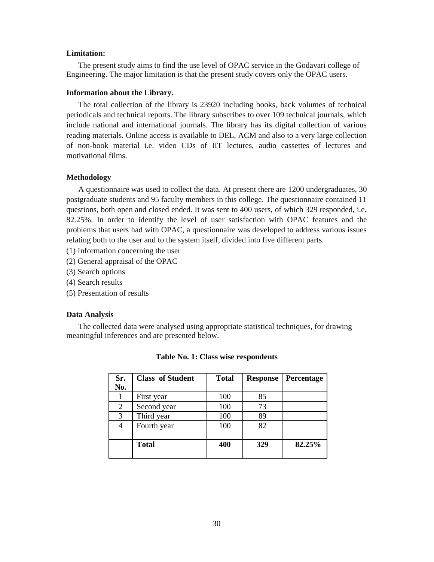## **Limitation:**

The present study aims to find the use level of OPAC service in the Godavari college of Engineering. The major limitation is that the present study covers only the OPAC users.

#### **Information about the Library.**

The total collection of the library is 23920 including books, back volumes of technical periodicals and technical reports. The library subscribes to over 109 technical journals, which include national and international journals. The library has its digital collection of various reading materials. Online access is available to DEL, ACM and also to a very large collection of non-book material i.e. video CDs of IIT lectures, audio cassettes of lectures and motivational films.

#### **Methodology**

A questionnaire was used to collect the data. At present there are 1200 undergraduates, 30 postgraduate students and 95 faculty members in this college. The questionnaire contained 11 questions, both open and closed ended. It was sent to 400 users, of which 329 responded, i.e. 82.25%. In order to identify the level of user satisfaction with OPAC features and the problems that users had with OPAC, a questionnaire was developed to address various issues relating both to the user and to the system itself, divided into five different parts.

- (1) Information concerning the user
- (2) General appraisal of the OPAC
- (3) Search options
- (4) Search results
- (5) Presentation of results

#### **Data Analysis**

The collected data were analysed using appropriate statistical techniques, for drawing meaningful inferences and are presented below.

| Sr.<br>No. | <b>Class of Student</b> | <b>Total</b> | <b>Response</b> | Percentage |
|------------|-------------------------|--------------|-----------------|------------|
|            | First year              | 100          | 85              |            |
| 2          | Second year             | 100          | 73              |            |
| 3          | Third year              | 100          | 89              |            |
| 4          | Fourth year             | 100          | 82              |            |
|            | <b>Total</b>            | 400          | 329             | 82.25%     |

#### **Table No. 1: Class wise respondents**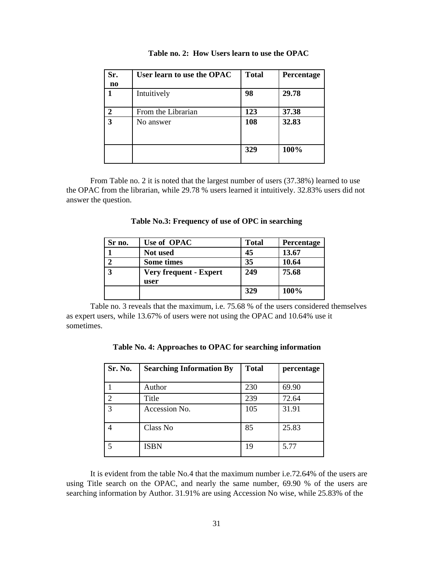| Sr.<br>no     | User learn to use the OPAC | <b>Total</b> | Percentage |
|---------------|----------------------------|--------------|------------|
|               | Intuitively                | 98           | 29.78      |
| $\mathcal{D}$ | From the Librarian         | 123          | 37.38      |
| 3             | No answer                  | 108          | 32.83      |
|               |                            | 329          | 100%       |

**Table no. 2: How Users learn to use the OPAC**

From Table no. 2 it is noted that the largest number of users (37.38%) learned to use the OPAC from the librarian, while 29.78 % users learned it intuitively. 32.83% users did not answer the question.

|  | Table No.3: Frequency of use of OPC in searching |  |  |
|--|--------------------------------------------------|--|--|
|  |                                                  |  |  |

| Sr no. | Use of OPAC                           | <b>Total</b> | Percentage |
|--------|---------------------------------------|--------------|------------|
|        | <b>Not</b> used                       | 45           | 13.67      |
|        | <b>Some times</b>                     | 35           | 10.64      |
| 2      | <b>Very frequent - Expert</b><br>user | 249          | 75.68      |
|        |                                       | 329          | 100%       |

Table no. 3 reveals that the maximum, i.e. 75.68 % of the users considered themselves as expert users, while 13.67% of users were not using the OPAC and 10.64% use it sometimes.

| Table No. 4: Approaches to OPAC for searching information |  |  |
|-----------------------------------------------------------|--|--|
|-----------------------------------------------------------|--|--|

| Sr. No. | <b>Searching Information By</b> | <b>Total</b> | percentage |
|---------|---------------------------------|--------------|------------|
|         |                                 |              |            |
|         | Author                          | 230          | 69.90      |
|         | Title                           | 239          | 72.64      |
| 3       | Accession No.                   | 105          | 31.91      |
|         | Class No                        | 85           | 25.83      |
|         | <b>ISBN</b>                     | 19           | 5.77       |

It is evident from the table No.4 that the maximum number i.e.72.64% of the users are using Title search on the OPAC, and nearly the same number, 69.90 % of the users are searching information by Author. 31.91% are using Accession No wise, while 25.83% of the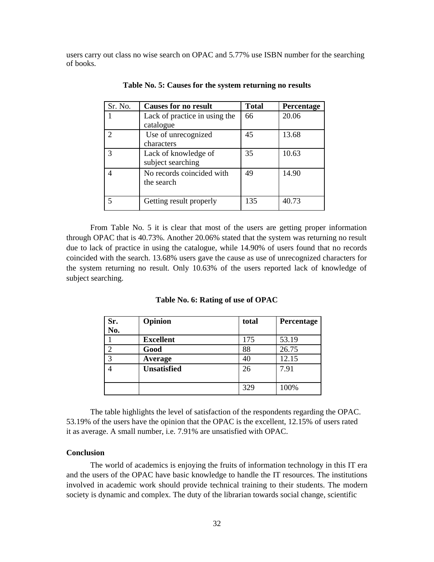users carry out class no wise search on OPAC and 5.77% use ISBN number for the searching of books.

| Sr. No.       | <b>Causes for no result</b>                | <b>Total</b> | Percentage |
|---------------|--------------------------------------------|--------------|------------|
|               | Lack of practice in using the<br>catalogue | 66           | 20.06      |
| $\mathcal{D}$ | Use of unrecognized<br>characters          | 45           | 13.68      |
| 3             | Lack of knowledge of<br>subject searching  | 35           | 10.63      |
| 4             | No records coincided with<br>the search    | 49           | 14.90      |
|               | Getting result properly                    | 135          | 40.73      |

**Table No. 5: Causes for the system returning no results**

From Table No. 5 it is clear that most of the users are getting proper information through OPAC that is 40.73%. Another 20.06% stated that the system was returning no result due to lack of practice in using the catalogue, while 14.90% of users found that no records coincided with the search. 13.68% users gave the cause as use of unrecognized characters for the system returning no result. Only 10.63% of the users reported lack of knowledge of subject searching.

| Sr. | Opinion            | total | Percentage |
|-----|--------------------|-------|------------|
| No. |                    |       |            |
|     | <b>Excellent</b>   | 175   | 53.19      |
| ◠   | Good               | 88    | 26.75      |
| 3   | Average            | 40    | 12.15      |
|     | <b>Unsatisfied</b> | 26    | 7.91       |
|     |                    | 329   | 100%       |

**Table No. 6: Rating of use of OPAC**

The table highlights the level of satisfaction of the respondents regarding the OPAC. 53.19% of the users have the opinion that the OPAC is the excellent, 12.15% of users rated it as average. A small number, i.e. 7.91% are unsatisfied with OPAC.

# **Conclusion**

The world of academics is enjoying the fruits of information technology in this IT era and the users of the OPAC have basic knowledge to handle the IT resources. The institutions involved in academic work should provide technical training to their students. The modern society is dynamic and complex. The duty of the librarian towards social change, scientific